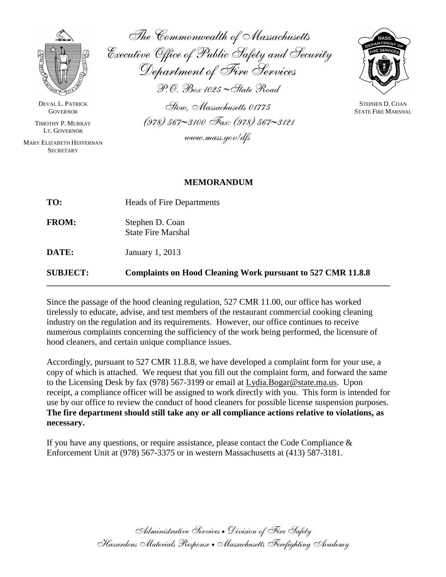

DEVAL L. PATRICK **GOVERNOR** 

TIMOTHY P. MURRAY LT. GOVERNOR

MARY ELIZABETH HEFFERNAN **SECRETARY** 

*The Commonwealth of Massachusetts Executive Office of Public Safety and Security Department of Fire Services P.O. Box 1025 State Road*

*Stow, Massachusetts 01775 (978) 5673100 Fax: (978) 5673121*

*www.mass.gov/dfs*



STEPHEN D. COAN STATE FIRE MARSHAL

## **MEMORANDUM**

| <b>SUBJECT:</b> | <b>Complaints on Hood Cleaning Work pursuant to 527 CMR 11.8.8</b> |  |  |  |
|-----------------|--------------------------------------------------------------------|--|--|--|
| DATE:           | January 1, 2013                                                    |  |  |  |
| <b>FROM:</b>    | Stephen D. Coan<br><b>State Fire Marshal</b>                       |  |  |  |
| TO:             | <b>Heads of Fire Departments</b>                                   |  |  |  |

Since the passage of the hood cleaning regulation, 527 CMR 11.00, our office has worked tirelessly to educate, advise, and test members of the restaurant commercial cooking cleaning industry on the regulation and its requirements. However, our office continues to receive numerous complaints concerning the sufficiency of the work being performed, the licensure of hood cleaners, and certain unique compliance issues.

Accordingly, pursuant to 527 CMR 11.8.8, we have developed a complaint form for your use, a copy of which is attached. We request that you fill out the complaint form, and forward the same to the Licensing Desk by fax (978) 567-3199 or email at [Lydia.Bogar@state.ma.us.](mailto:Lydia.Bogar@state.ma.us) Upon receipt, a compliance officer will be assigned to work directly with you. This form is intended for use by our office to review the conduct of hood cleaners for possible license suspension purposes. **The fire department should still take any or all compliance actions relative to violations, as necessary.**

If you have any questions, or require assistance, please contact the Code Compliance  $\&$ Enforcement Unit at (978) 567-3375 or in western Massachusetts at (413) 587-3181.

> *Administrative Services Division of Fire Safety Hazardous Materials Response Massachusetts Firefighting Academy*